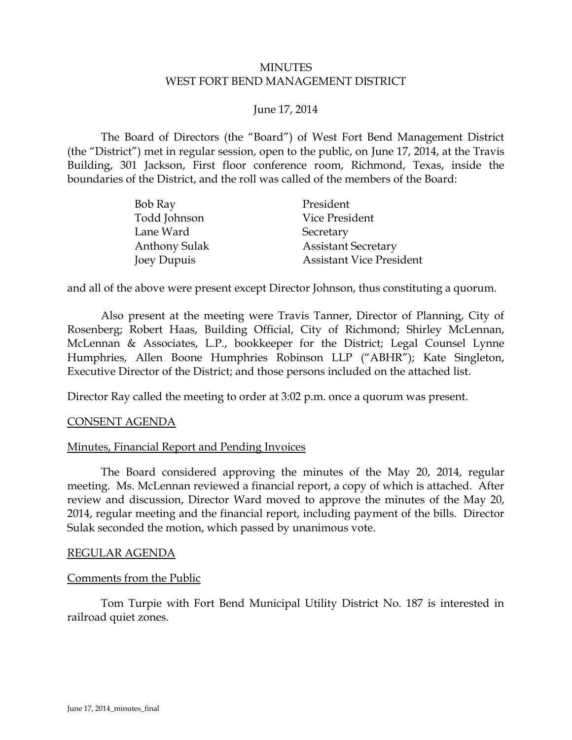### MINUTES WEST FORT BEND MANAGEMENT DISTRICT

## <span id="page-0-0"></span>June 17, 2014

The Board of Directors (the "Board") of West Fort Bend Management District (the "District") met in regular session, open to the public, on June 17, 2014, at the Travis Building, 301 Jackson, First floor conference room, Richmond, Texas, inside the boundaries of the District, and the roll was called of the members of the Board:

| Bob Ray              | President                       |
|----------------------|---------------------------------|
| Todd Johnson         | Vice President                  |
| Lane Ward            | Secretary                       |
| <b>Anthony Sulak</b> | <b>Assistant Secretary</b>      |
| Joey Dupuis          | <b>Assistant Vice President</b> |

and all of the above were present except Director Johnson, thus constituting a quorum.

Also present at the meeting were Travis Tanner, Director of Planning, City of Rosenberg; Robert Haas, Building Official, City of Richmond; Shirley McLennan, McLennan & Associates, L.P., bookkeeper for the District; Legal Counsel Lynne Humphries, Allen Boone Humphries Robinson LLP ("ABHR"); Kate Singleton, Executive Director of the District; and those persons included on the attached list.

Director Ray called the meeting to order at 3:02 p.m. once a quorum was present.

### CONSENT AGENDA

### Minutes, Financial Report and Pending Invoices

<span id="page-0-1"></span>The Board considered approving the minutes of the May 20, 2014, regular meeting. Ms. McLennan reviewed a financial report, a copy of which is attached. After review and discussion, Director Ward moved to approve the minutes of the May 20, 2014, regular meeting and the financial report, including payment of the bills. Director Sulak seconded the motion, which passed by unanimous vote.

#### REGULAR AGENDA

### Comments from the Public

Tom Turpie with Fort Bend Municipal Utility District No. 187 is interested in railroad quiet zones.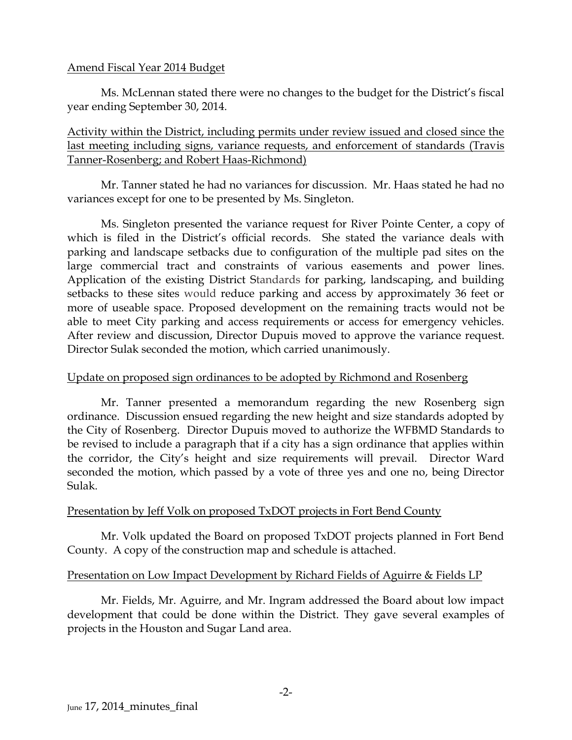## Amend Fiscal Year 2014 Budget

Ms. McLennan stated there were no changes to the budget for the District's fiscal year ending September 30, 2014.

Activity within the District, including permits under review issued and closed since the last meeting including signs, variance requests, and enforcement of standards (Travis Tanner-Rosenberg; and Robert Haas-Richmond)

Mr. Tanner stated he had no variances for discussion. Mr. Haas stated he had no variances except for one to be presented by Ms. Singleton.

Ms. Singleton presented the variance request for River Pointe Center, a copy of which is filed in the District's official records. She stated the variance deals with parking and landscape setbacks due to configuration of the multiple pad sites on the large commercial tract and constraints of various easements and power lines. Application of the existing District Standards for parking, landscaping, and building setbacks to these sites would reduce parking and access by approximately 36 feet or more of useable space. Proposed development on the remaining tracts would not be able to meet City parking and access requirements or access for emergency vehicles. After review and discussion, Director Dupuis moved to approve the variance request. Director Sulak seconded the motion, which carried unanimously.

### Update on proposed sign ordinances to be adopted by Richmond and Rosenberg

Mr. Tanner presented a memorandum regarding the new Rosenberg sign ordinance. Discussion ensued regarding the new height and size standards adopted by the City of Rosenberg. Director Dupuis moved to authorize the WFBMD Standards to be revised to include a paragraph that if a city has a sign ordinance that applies within the corridor, the City's height and size requirements will prevail. Director Ward seconded the motion, which passed by a vote of three yes and one no, being Director Sulak.

## Presentation by Jeff Volk on proposed TxDOT projects in Fort Bend County

<span id="page-1-0"></span>Mr. Volk updated the Board on proposed TxDOT projects planned in Fort Bend County. A copy of the construction map and schedule is attached.

### Presentation on Low Impact Development by Richard Fields of Aguirre & Fields LP

Mr. Fields, Mr. Aguirre, and Mr. Ingram addressed the Board about low impact development that could be done within the District. They gave several examples of projects in the Houston and Sugar Land area.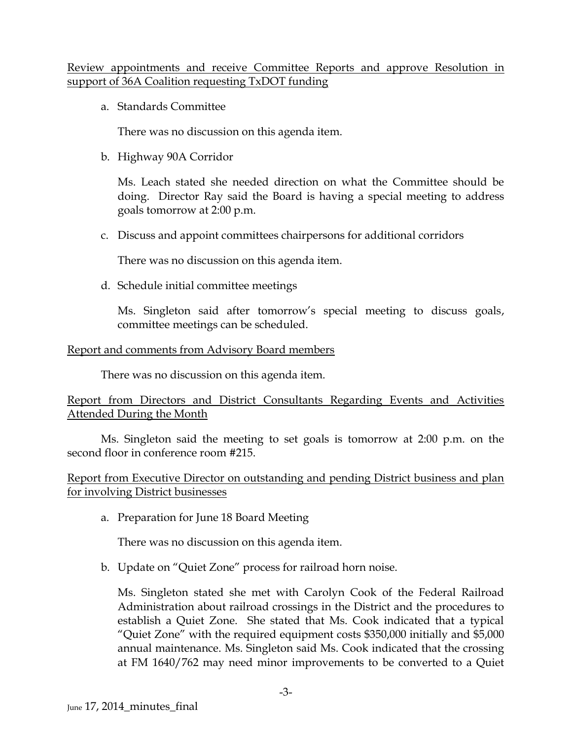## Review appointments and receive Committee Reports and approve Resolution in support of 36A Coalition requesting TxDOT funding

a. Standards Committee

There was no discussion on this agenda item.

b. Highway 90A Corridor

Ms. Leach stated she needed direction on what the Committee should be doing. Director Ray said the Board is having a special meeting to address goals tomorrow at 2:00 p.m.

c. Discuss and appoint committees chairpersons for additional corridors

There was no discussion on this agenda item.

d. Schedule initial committee meetings

Ms. Singleton said after tomorrow's special meeting to discuss goals, committee meetings can be scheduled.

## Report and comments from Advisory Board members

There was no discussion on this agenda item.

Report from Directors and District Consultants Regarding Events and Activities Attended During the Month

Ms. Singleton said the meeting to set goals is tomorrow at 2:00 p.m. on the second floor in conference room #215.

Report from Executive Director on outstanding and pending District business and plan for involving District businesses

a. Preparation for June 18 Board Meeting

There was no discussion on this agenda item.

b. Update on "Quiet Zone" process for railroad horn noise.

Ms. Singleton stated she met with Carolyn Cook of the Federal Railroad Administration about railroad crossings in the District and the procedures to establish a Quiet Zone. She stated that Ms. Cook indicated that a typical "Quiet Zone" with the required equipment costs \$350,000 initially and \$5,000 annual maintenance. Ms. Singleton said Ms. Cook indicated that the crossing at FM 1640/762 may need minor improvements to be converted to a Quiet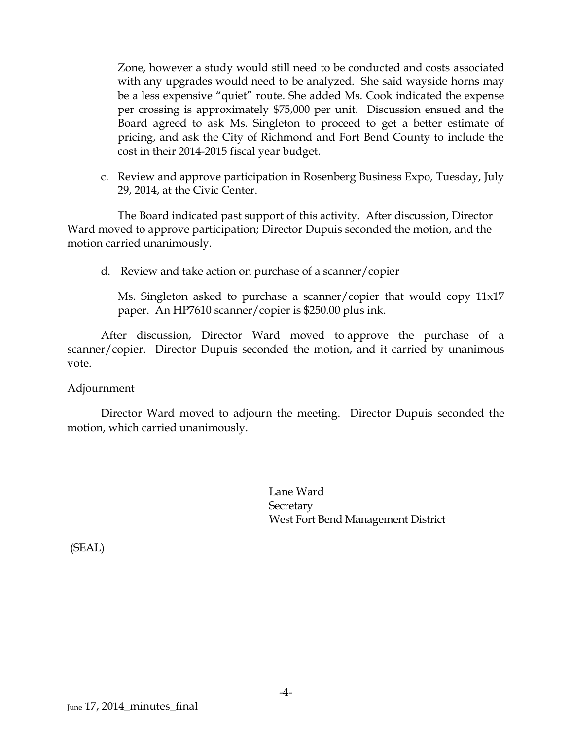Zone, however a study would still need to be conducted and costs associated with any upgrades would need to be analyzed. She said wayside horns may be a less expensive "quiet" route. She added Ms. Cook indicated the expense per crossing is approximately \$75,000 per unit. Discussion ensued and the Board agreed to ask Ms. Singleton to proceed to get a better estimate of pricing, and ask the City of Richmond and Fort Bend County to include the cost in their 2014-2015 fiscal year budget.

c. Review and approve participation in Rosenberg Business Expo, Tuesday, July 29, 2014, at the Civic Center.

The Board indicated past support of this activity. After discussion, Director Ward moved to approve participation; Director Dupuis seconded the motion, and the motion carried unanimously.

d. Review and take action on purchase of a scanner/copier

Ms. Singleton asked to purchase a scanner/copier that would copy 11x17 paper. An HP7610 scanner/copier is \$250.00 plus ink.

After discussion, Director Ward moved to approve the purchase of a scanner/copier. Director Dupuis seconded the motion, and it carried by unanimous vote.

### Adjournment

Director Ward moved to adjourn the meeting. Director Dupuis seconded the motion, which carried unanimously.

> Lane Ward **Secretary** West Fort Bend Management District

(SEAL)